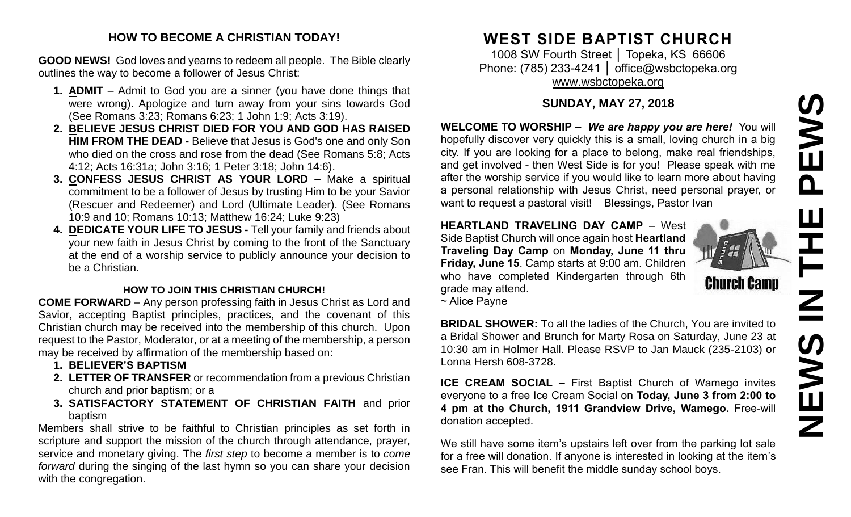# PEWS **NEWS IN THE PEWS**エー<br>N<br>N **SWEN**

#### **HOW TO BECOME A CHRISTIAN TODAY!**

**GOOD NEWS!** God loves and yearns to redeem all people. The Bible clearly outlines the way to become a follower of Jesus Christ:

- **1. ADMIT** Admit to God you are a sinner (you have done things that were wrong). Apologize and turn away from your sins towards God (See Romans 3:23; Romans 6:23; 1 John 1:9; Acts 3:19).
- **2. BELIEVE JESUS CHRIST DIED FOR YOU AND GOD HAS RAISED HIM FROM THE DEAD -** Believe that Jesus is God's one and only Son who died on the cross and rose from the dead (See Romans 5:8; Acts 4:12; Acts 16:31a; John 3:16; 1 Peter 3:18; John 14:6).
- **3. CONFESS JESUS CHRIST AS YOUR LORD –** Make a spiritual commitment to be a follower of Jesus by trusting Him to be your Savior (Rescuer and Redeemer) and Lord (Ultimate Leader). (See Romans 10:9 and 10; Romans 10:13; Matthew 16:24; Luke 9:23)
- **4. DEDICATE YOUR LIFE TO JESUS -** Tell your family and friends about your new faith in Jesus Christ by coming to the front of the Sanctuary at the end of a worship service to publicly announce your decision to be a Christian.

#### **HOW TO JOIN THIS CHRISTIAN CHURCH!**

**COME FORWARD** – Any person professing faith in Jesus Christ as Lord and Savior, accepting Baptist principles, practices, and the covenant of this Christian church may be received into the membership of this church. Upon request to the Pastor, Moderator, or at a meeting of the membership, a person may be received by affirmation of the membership based on:

- **1. BELIEVER'S BAPTISM**
- **2. LETTER OF TRANSFER** or recommendation from a previous Christian church and prior baptism; or a
- **3. SATISFACTORY STATEMENT OF CHRISTIAN FAITH** and prior baptism

Members shall strive to be faithful to Christian principles as set forth in scripture and support the mission of the church through attendance, prayer, service and monetary giving. The *first step* to become a member is to *come forward* during the singing of the last hymn so you can share your decision with the congregation.

# **WEST SIDE BAPTIST CHURCH**

1008 SW Fourth Street │ Topeka, KS 66606 Phone: (785) 233-4241 | [office@wsbctopeka.org](mailto:office@wsbctopeka.org) [www.wsbctopeka.org](http://www.wsbctopeka.org/)

#### **SUNDAY, MAY 27, 2018**

**WELCOME TO WORSHIP –** *We are happy you are here!* You will hopefully discover very quickly this is a small, loving church in a big city. If you are looking for a place to belong, make real friendships, and get involved - then West Side is for you! Please speak with me after the worship service if you would like to learn more about having a personal relationship with Jesus Christ, need personal prayer, or want to request a pastoral visit! Blessings, Pastor Ivan

#### **HEARTLAND TRAVELING DAY CAMP** – West Side Baptist Church will once again host **Heartland Traveling Day Camp** on **Monday, June 11 thru Friday, June 15**. Camp starts at 9:00 am. Children who have completed Kindergarten through 6th grade may attend.



~ Alice Payne

**BRIDAL SHOWER:** To all the ladies of the Church, You are invited to a Bridal Shower and Brunch for Marty Rosa on Saturday, June 23 at 10:30 am in Holmer Hall. Please RSVP to Jan Mauck (235-2103) or Lonna Hersh 608-3728.

**ICE CREAM SOCIAL –** First Baptist Church of Wamego invites everyone to a free Ice Cream Social on **Today, June 3 from 2:00 to 4 pm at the Church, 1911 Grandview Drive, Wamego.** Free-will donation accepted.

We still have some item's upstairs left over from the parking lot sale for a free will donation. If anyone is interested in looking at the item's see Fran. This will benefit the middle sunday school boys.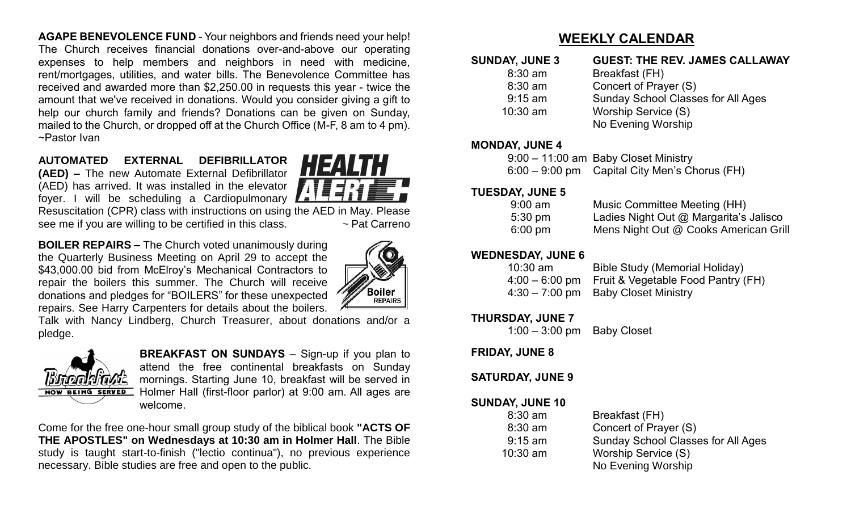**AGAPE BENEVOLENCE FUND** - Your neighbors and friends need your help! The Church receives financial donations over-and-above our operating expenses to help members and neighbors in need with medicine, rent/mortgages, utilities, and water bills. The Benevolence Committee has received and awarded more than \$2,250.00 in requests this year - twice the amount that we've received in donations. Would you consider giving a gift to help our church family and friends? Donations can be given on Sunday, mailed to the Church, or dropped off at the Church Office (M-F, 8 am to 4 pm). ~Pastor Ivan

## **AUTOMATED EXTERNAL DEFIBRILLATOR**

**(AED) –** The new Automate External Defibrillator (AED) has arrived. It was installed in the elevator foyer. I will be scheduling a Cardiopulmonary

**HEALTH** 

Resuscitation (CPR) class with instructions on using the AED in May. Please see me if you are willing to be certified in this class.  $\sim$  Pat Carreno

**BOILER REPAIRS –** The Church voted unanimously during the Quarterly Business Meeting on April 29 to accept the \$43,000.00 bid from McElroy's Mechanical Contractors to repair the boilers this summer. The Church will receive donations and pledges for "BOILERS" for these unexpected repairs. See Harry Carpenters for details about the boilers.



Talk with Nancy Lindberg, Church Treasurer, about donations and/or a pledge.



**BREAKFAST ON SUNDAYS** – Sign-up if you plan to attend the free continental breakfasts on Sunday mornings. Starting June 10, breakfast will be served in Holmer Hall (first-floor parlor) at 9:00 am. All ages are welcome.

Come for the free one-hour small group study of the biblical book **"ACTS OF THE APOSTLES" on Wednesdays at 10:30 am in Holmer Hall**. The Bible study is taught start-to-finish ("lectio continua"), no previous experience necessary. Bible studies are free and open to the public.

## **WEEKLY CALENDAR**

| <b>SUNDAY, JUNE 3</b><br>$8:30$ am | <b>GUEST: THE REV. JAMES CALLAWAY</b>     |  |  |  |  |  |  |  |
|------------------------------------|-------------------------------------------|--|--|--|--|--|--|--|
|                                    | Breakfast (FH)                            |  |  |  |  |  |  |  |
| $8:30$ am                          | Concert of Prayer (S)                     |  |  |  |  |  |  |  |
| $9:15$ am                          | <b>Sunday School Classes for All Ages</b> |  |  |  |  |  |  |  |
| $10:30$ am                         | Worship Service (S)                       |  |  |  |  |  |  |  |
|                                    | No Evening Worship                        |  |  |  |  |  |  |  |

#### **MONDAY, JUNE 4**

| $9:00 - 11:00$ am Baby Closet Ministry          |
|-------------------------------------------------|
| $6:00 - 9:00$ pm Capital City Men's Chorus (FH) |

#### **TUESDAY, JUNE 5**

| $9:00 \text{ am}$ | Music Committee Meeting (HH)           |
|-------------------|----------------------------------------|
| $5:30 \text{ pm}$ | Ladies Night Out @ Margarita's Jalisco |
| $6:00$ pm         | Mens Night Out @ Cooks American Grill  |

#### **WEDNESDAY, JUNE 6**

| $10:30$ am | Bible Study (Memorial Holiday)                    |
|------------|---------------------------------------------------|
|            | 4:00 – 6:00 pm Fruit & Vegetable Food Pantry (FH) |
|            | $4:30 - 7:00$ pm Baby Closet Ministry             |

#### **THURSDAY, JUNE 7**

1:00 – 3:00 pm Baby Closet

#### **FRIDAY, JUNE 8**

#### **SATURDAY, JUNE 9**

#### **SUNDAY, JUNE 10**

| $8:30$ am  | Breakfast (FH)                            |
|------------|-------------------------------------------|
| $8:30$ am  | Concert of Prayer (S)                     |
| $9:15$ am  | <b>Sunday School Classes for All Ages</b> |
| $10:30$ am | Worship Service (S)                       |
|            | No Evening Worship                        |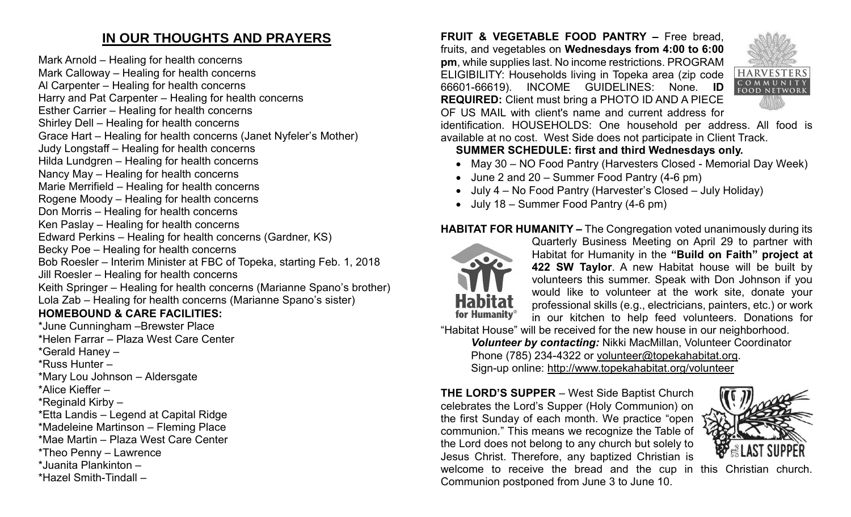# **IN OUR THOUGHTS AND PRAYERS**

Mark Arnold – Healing for health concerns Mark Calloway – Healing for health concerns Al Carpenter – Healing for health concerns Harry and Pat Carpenter – Healing for health concerns Esther Carrier – Healing for health concerns Shirley Dell – Healing for health concerns Grace Hart – Healing for health concerns (Janet Nyfeler's Mother) Judy Longstaff – Healing for health concerns Hilda Lundgren – Healing for health concerns Nancy May – Healing for health concerns Marie Merrifield – Healing for health concerns Rogene Moody – Healing for health concerns Don Morris – Healing for health concerns Ken Paslay – Healing for health concerns Edward Perkins – Healing for health concerns (Gardner, KS) Becky Poe – Healing for health concerns Bob Roesler – Interim Minister at FBC of Topeka, starting Feb. 1, 2018 Jill Roesler – Healing for health concerns Keith Springer – Healing for health concerns (Marianne Spano's brother) Lola Zab – Healing for health concerns (Marianne Spano's sister) **HOMEBOUND & CARE FACILITIES:**

\*June Cunningham –Brewster Place \*Helen Farrar – Plaza West Care Center \*Gerald Haney – \*Russ Hunter – \*Mary Lou Johnson – Aldersgate \*Alice Kieffer – \*Reginald Kirby – \*Etta Landis – Legend at Capital Ridge \*Madeleine Martinson – Fleming Place \*Mae Martin – Plaza West Care Center \*Theo Penny – Lawrence \*Juanita Plankinton – \*Hazel Smith-Tindall –

**FRUIT & VEGETABLE FOOD PANTRY –** Free bread, fruits, and vegetables on **Wednesdays from 4:00 to 6:00 pm**, while supplies last. No income restrictions. PROGRAM ELIGIBILITY: Households living in Topeka area (zip code 66601-66619). INCOME GUIDELINES: None. **ID REQUIRED:** Client must bring a PHOTO ID AND A PIECE OF US MAIL with client's name and current address for



identification. HOUSEHOLDS: One household per address. All food is available at no cost. West Side does not participate in Client Track.

#### **SUMMER SCHEDULE: first and third Wednesdays only.**

- May 30 NO Food Pantry (Harvesters Closed Memorial Day Week)
- June 2 and 20 Summer Food Pantry (4-6 pm)
- July 4 No Food Pantry (Harvester's Closed July Holiday)
- July 18 Summer Food Pantry (4-6 pm)

#### **HABITAT FOR HUMANITY –** The Congregation voted unanimously during its



Quarterly Business Meeting on April 29 to partner with Habitat for Humanity in the **"Build on Faith" project at 422 SW Taylor**. A new Habitat house will be built by volunteers this summer. Speak with Don Johnson if you would like to volunteer at the work site, donate your professional skills (e.g., electricians, painters, etc.) or work in our kitchen to help feed volunteers. Donations for

"Habitat House" will be received for the new house in our neighborhood.

*Volunteer by contacting:* Nikki MacMillan, Volunteer Coordinator Phone (785) 234-4322 or [volunteer@topekahabitat.org.](mailto:volunteer@topekahabitat.org) Sign-up online:<http://www.topekahabitat.org/volunteer>

**THE LORD'S SUPPER** – West Side Baptist Church celebrates the Lord's Supper (Holy Communion) on the first Sunday of each month. We practice "open communion." This means we recognize the Table of the Lord does not belong to any church but solely to Jesus Christ. Therefore, any baptized Christian is welcome to receive the bread and the cup in this Christian church. Communion postponed from June 3 to June 10.